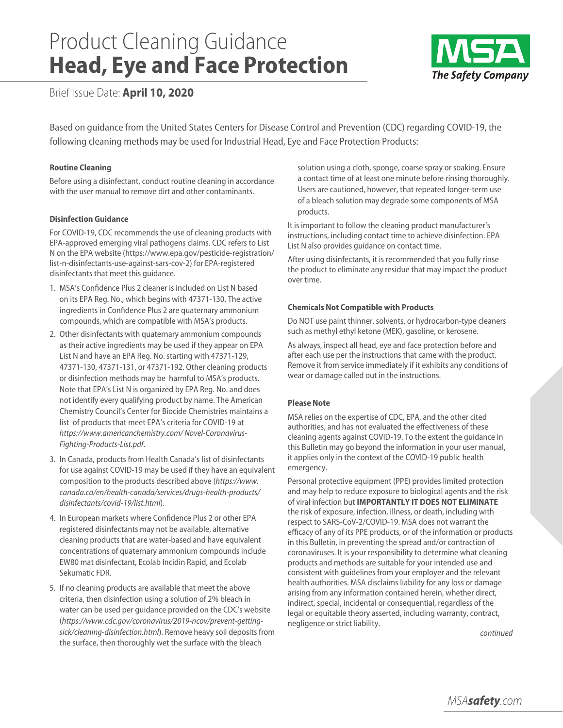# Product Cleaning Guidance **Head, Eye and Face Protection**



Brief Issue Date: **April 10, 2020**

Based on guidance from the United States Centers for Disease Control and Prevention (CDC) regarding COVID-19, the following cleaning methods may be used for Industrial Head, Eye and Face Protection Products:

# **Routine Cleaning**

Before using a disinfectant, conduct routine cleaning in accordance with the user manual to remove dirt and other contaminants.

# **Disinfection Guidance**

For COVID-19, CDC recommends the use of cleaning products with EPA-approved emerging viral pathogens claims. CDC refers to List N on the EPA website (https://www.epa.gov/pesticide-registration/ list-n-disinfectants-use-against-sars-cov-2) for EPA-registered disinfectants that meet this guidance.

- 1. MSA's Confidence Plus 2 cleaner is included on List N based on its EPA Reg. No., which begins with 47371-130. The active ingredients in Confidence Plus 2 are quaternary ammonium compounds, which are compatible with MSA's products.
- 2. Other disinfectants with quaternary ammonium compounds as their active ingredients may be used if they appear on EPA List N and have an EPA Reg. No. starting with 47371-129, 47371-130, 47371-131, or 47371-192. Other cleaning products or disinfection methods may be harmful to MSA's products. Note that EPA's List N is organized by EPA Reg. No. and does not identify every qualifying product by name. The American Chemistry Council's Center for Biocide Chemistries maintains a list of products that meet EPA's criteria for COVID-19 at *https://www.americanchemistry.com/ Novel-Coronavirus-Fighting-Products-List.pdf*.
- 3. In Canada, products from Health Canada's list of disinfectants for use against COVID-19 may be used if they have an equivalent composition to the products described above (*https://www. canada.ca/en/health-canada/services/drugs-health-products/ disinfectants/covid-19/list.html*).
- 4. In European markets where Confidence Plus 2 or other EPA registered disinfectants may not be available, alternative cleaning products that are water-based and have equivalent concentrations of quaternary ammonium compounds include EW80 mat disinfectant, Ecolab Incidin Rapid, and Ecolab Sekumatic FDR.
- 5. If no cleaning products are available that meet the above criteria, then disinfection using a solution of 2% bleach in water can be used per guidance provided on the CDC's website (*https://www.cdc.gov/coronavirus/2019-ncov/prevent-gettingsick/cleaning-disinfection.html*). Remove heavy soil deposits from the surface, then thoroughly wet the surface with the bleach

solution using a cloth, sponge, coarse spray or soaking. Ensure a contact time of at least one minute before rinsing thoroughly. Users are cautioned, however, that repeated longer-term use of a bleach solution may degrade some components of MSA products.

It is important to follow the cleaning product manufacturer's instructions, including contact time to achieve disinfection. EPA List N also provides guidance on contact time.

After using disinfectants, it is recommended that you fully rinse the product to eliminate any residue that may impact the product over time.

### **Chemicals Not Compatible with Products**

Do NOT use paint thinner, solvents, or hydrocarbon-type cleaners such as methyl ethyl ketone (MEK), gasoline, or kerosene.

As always, inspect all head, eye and face protection before and after each use per the instructions that came with the product. Remove it from service immediately if it exhibits any conditions of wear or damage called out in the instructions.

### **Please Note**

MSA relies on the expertise of CDC, EPA, and the other cited authorities, and has not evaluated the effectiveness of these cleaning agents against COVID-19. To the extent the guidance in this Bulletin may go beyond the information in your user manual, it applies only in the context of the COVID-19 public health emergency.

Personal protective equipment (PPE) provides limited protection and may help to reduce exposure to biological agents and the risk of viral infection but **IMPORTANTLY IT DOES NOT ELIMINATE** the risk of exposure, infection, illness, or death, including with respect to SARS-CoV-2/COVID-19. MSA does not warrant the efficacy of any of its PPE products, or of the information or products in this Bulletin, in preventing the spread and/or contraction of coronaviruses. It is your responsibility to determine what cleaning products and methods are suitable for your intended use and consistent with guidelines from your employer and the relevant health authorities. MSA disclaims liability for any loss or damage arising from any information contained herein, whether direct, indirect, special, incidental or consequential, regardless of the legal or equitable theory asserted, including warranty, contract, negligence or strict liability.

*continued*